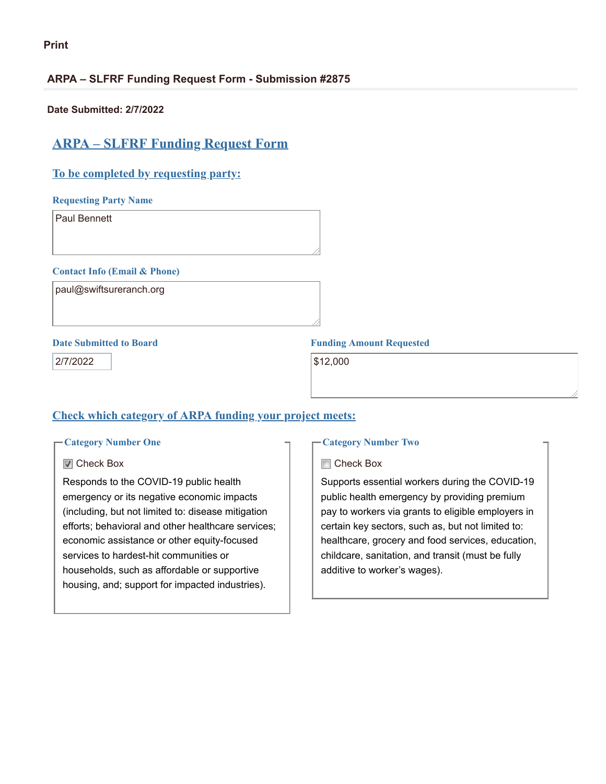# **ARPA – SLFRF Funding Request Form - Submission #2875**

**Date Submitted: 2/7/2022**

# **ARPA – SLFRF Funding Request Form**

# **To be completed by requesting party:**

**Requesting Party Name**

Paul Bennett

#### **Contact Info (Email & Phone)**

paul@swiftsureranch.org

2/7/2022 **\$12,000** 

# **Date Submitted to Board Funding Amount Requested**

# **Check which category of ARPA funding your project meets:**

#### **Category Number One**

#### **■** Check Box

Responds to the COVID-19 public health emergency or its negative economic impacts (including, but not limited to: disease mitigation efforts; behavioral and other healthcare services; economic assistance or other equity-focused services to hardest-hit communities or households, such as affordable or supportive housing, and; support for impacted industries).

#### **Category Number Two**

#### **□ Check Box**

Supports essential workers during the COVID-19 public health emergency by providing premium pay to workers via grants to eligible employers in certain key sectors, such as, but not limited to: healthcare, grocery and food services, education, childcare, sanitation, and transit (must be fully additive to worker's wages).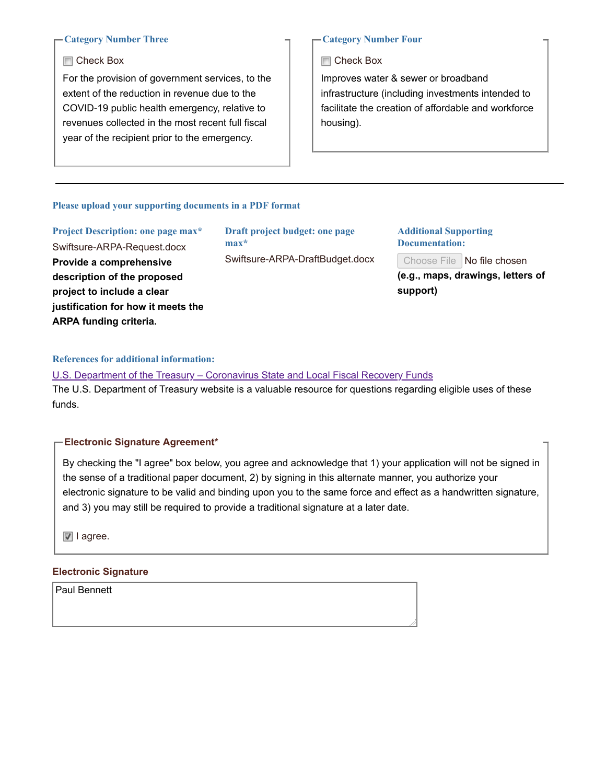#### **Category Number Three**

#### **□ Check Box**

For the provision of government services, to the extent of the reduction in revenue due to the COVID-19 public health emergency, relative to revenues collected in the most recent full fiscal year of the recipient prior to the emergency.

#### **Category Number Four**

Check Box

Improves water & sewer or broadband infrastructure (including investments intended to facilitate the creation of affordable and workforce housing).

#### **Please upload your supporting documents in a PDF format**

| Project Description: one page max* |
|------------------------------------|
| Swiftsure-ARPA-Request.docx        |
| Provide a comprehensive            |
| description of the proposed        |
| project to include a clear         |
| justification for how it meets the |
| <b>ARPA funding criteria.</b>      |

**Draft project budget: one page max\*** Swiftsure-ARPA-DraftBudget.docx

#### **Additional Supporting Documentation:**

Choose File No file chosen

**(e.g., maps, drawings, letters of support)**

### **References for additional information:**

U.S. Department of the Treasury – [Coronavirus](https://home.treasury.gov/policy-issues/coronavirus/assistance-for-state-local-and-tribal-governments/state-and-local-fiscal-recovery-funds) State and Local Fiscal Recovery Funds The U.S. Department of Treasury website is a valuable resource for questions regarding eligible uses of these funds.

#### **Electronic Signature Agreement\***

By checking the "I agree" box below, you agree and acknowledge that 1) your application will not be signed in the sense of a traditional paper document, 2) by signing in this alternate manner, you authorize your electronic signature to be valid and binding upon you to the same force and effect as a handwritten signature, and 3) you may still be required to provide a traditional signature at a later date.

I agree.

#### **Electronic Signature**

Paul Bennett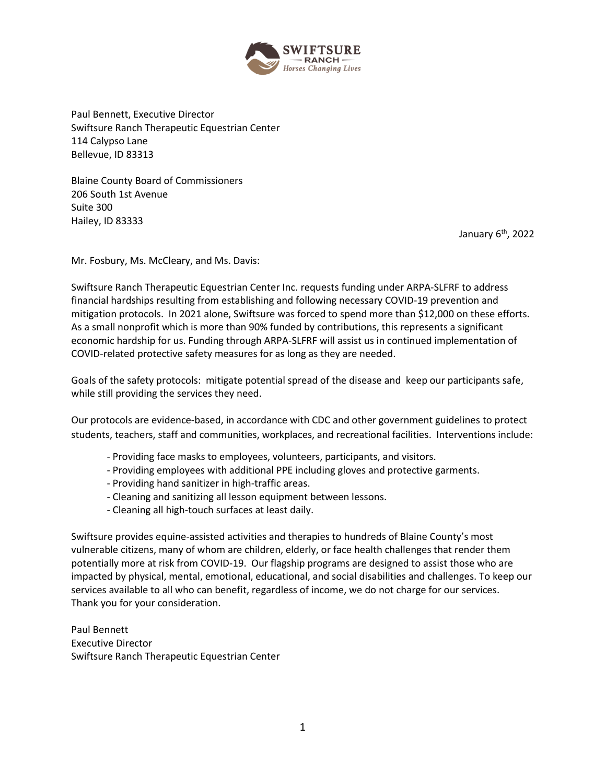

Paul Bennett, Executive Director Swiftsure Ranch Therapeutic Equestrian Center 114 Calypso Lane Bellevue, ID 83313

Blaine County Board of Commissioners 206 South 1st Avenue Suite 300 Hailey, ID 83333

January 6<sup>th</sup>, 2022

Mr. Fosbury, Ms. McCleary, and Ms. Davis:

Swiftsure Ranch Therapeutic Equestrian Center Inc. requests funding under ARPA-SLFRF to address financial hardships resulting from establishing and following necessary COVID-19 prevention and mitigation protocols. In 2021 alone, Swiftsure was forced to spend more than \$12,000 on these efforts. As a small nonprofit which is more than 90% funded by contributions, this represents a significant economic hardship for us. Funding through ARPA-SLFRF will assist us in continued implementation of COVID-related protective safety measures for as long as they are needed.

Goals of the safety protocols: mitigate potential spread of the disease and keep our participants safe, while still providing the services they need.

Our protocols are evidence-based, in accordance with CDC and other government guidelines to protect students, teachers, staff and communities, workplaces, and recreational facilities. Interventions include:

- Providing face masks to employees, volunteers, participants, and visitors.
- Providing employees with additional PPE including gloves and protective garments.
- Providing hand sanitizer in high-traffic areas.
- Cleaning and sanitizing all lesson equipment between lessons.
- Cleaning all high-touch surfaces at least daily.

Swiftsure provides equine-assisted activities and therapies to hundreds of Blaine County's most vulnerable citizens, many of whom are children, elderly, or face health challenges that render them potentially more at risk from COVID-19. Our flagship programs are designed to assist those who are impacted by physical, mental, emotional, educational, and social disabilities and challenges. To keep our services available to all who can benefit, regardless of income, we do not charge for our services. Thank you for your consideration.

Paul Bennett Executive Director Swiftsure Ranch Therapeutic Equestrian Center